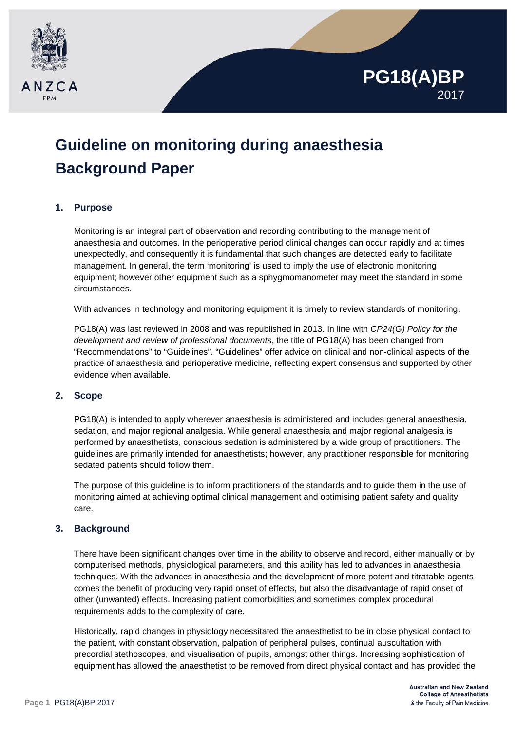

# **PG18(A)BP** 2017

# **Guideline on monitoring during anaesthesia Background Paper**

# **1. Purpose**

Monitoring is an integral part of observation and recording contributing to the management of anaesthesia and outcomes. In the perioperative period clinical changes can occur rapidly and at times unexpectedly, and consequently it is fundamental that such changes are detected early to facilitate management. In general, the term 'monitoring' is used to imply the use of electronic monitoring equipment; however other equipment such as a sphygmomanometer may meet the standard in some circumstances.

With advances in technology and monitoring equipment it is timely to review standards of monitoring.

PG18(A) was last reviewed in 2008 and was republished in 2013. In line with *CP24(G) Policy for the development and review of professional documents*, the title of PG18(A) has been changed from "Recommendations" to "Guidelines". "Guidelines" offer advice on clinical and non-clinical aspects of the practice of anaesthesia and perioperative medicine, reflecting expert consensus and supported by other evidence when available.

### **2. Scope**

PG18(A) is intended to apply wherever anaesthesia is administered and includes general anaesthesia, sedation, and major regional analgesia. While general anaesthesia and major regional analgesia is performed by anaesthetists, conscious sedation is administered by a wide group of practitioners. The guidelines are primarily intended for anaesthetists; however, any practitioner responsible for monitoring sedated patients should follow them.

The purpose of this guideline is to inform practitioners of the standards and to guide them in the use of monitoring aimed at achieving optimal clinical management and optimising patient safety and quality care.

## **3. Background**

There have been significant changes over time in the ability to observe and record, either manually or by computerised methods, physiological parameters, and this ability has led to advances in anaesthesia techniques. With the advances in anaesthesia and the development of more potent and titratable agents comes the benefit of producing very rapid onset of effects, but also the disadvantage of rapid onset of other (unwanted) effects. Increasing patient comorbidities and sometimes complex procedural requirements adds to the complexity of care.

Historically, rapid changes in physiology necessitated the anaesthetist to be in close physical contact to the patient, with constant observation, palpation of peripheral pulses, continual auscultation with precordial stethoscopes, and visualisation of pupils, amongst other things. Increasing sophistication of equipment has allowed the anaesthetist to be removed from direct physical contact and has provided the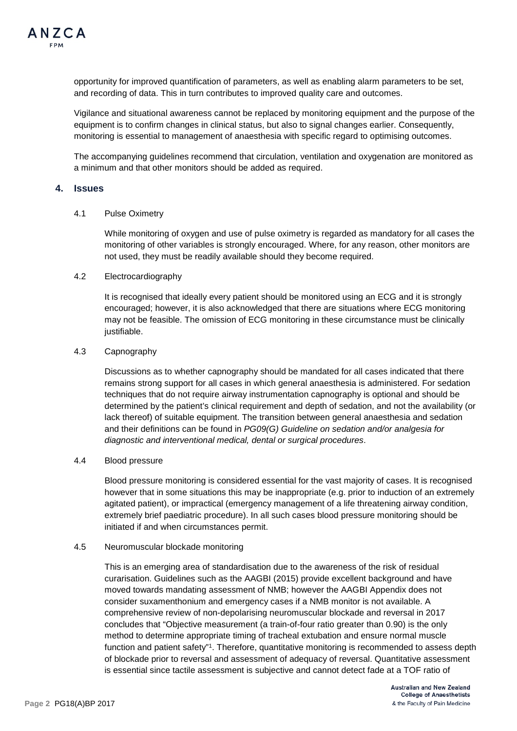

opportunity for improved quantification of parameters, as well as enabling alarm parameters to be set, and recording of data. This in turn contributes to improved quality care and outcomes.

Vigilance and situational awareness cannot be replaced by monitoring equipment and the purpose of the equipment is to confirm changes in clinical status, but also to signal changes earlier. Consequently, monitoring is essential to management of anaesthesia with specific regard to optimising outcomes.

The accompanying guidelines recommend that circulation, ventilation and oxygenation are monitored as a minimum and that other monitors should be added as required.

#### **4. Issues**

#### 4.1 Pulse Oximetry

While monitoring of oxygen and use of pulse oximetry is regarded as mandatory for all cases the monitoring of other variables is strongly encouraged. Where, for any reason, other monitors are not used, they must be readily available should they become required.

#### 4.2 Electrocardiography

It is recognised that ideally every patient should be monitored using an ECG and it is strongly encouraged; however, it is also acknowledged that there are situations where ECG monitoring may not be feasible. The omission of ECG monitoring in these circumstance must be clinically justifiable.

#### 4.3 Capnography

Discussions as to whether capnography should be mandated for all cases indicated that there remains strong support for all cases in which general anaesthesia is administered. For sedation techniques that do not require airway instrumentation capnography is optional and should be determined by the patient's clinical requirement and depth of sedation, and not the availability (or lack thereof) of suitable equipment. The transition between general anaesthesia and sedation and their definitions can be found in *PG09(G) Guideline on sedation and/or analgesia for diagnostic and interventional medical, dental or surgical procedures*.

#### 4.4 Blood pressure

Blood pressure monitoring is considered essential for the vast majority of cases. It is recognised however that in some situations this may be inappropriate (e.g. prior to induction of an extremely agitated patient), or impractical (emergency management of a life threatening airway condition, extremely brief paediatric procedure). In all such cases blood pressure monitoring should be initiated if and when circumstances permit.

#### 4.5 Neuromuscular blockade monitoring

This is an emerging area of standardisation due to the awareness of the risk of residual curarisation. Guidelines such as the AAGBI (2015) provide excellent background and have moved towards mandating assessment of NMB; however the AAGBI Appendix does not consider suxamenthonium and emergency cases if a NMB monitor is not available. A comprehensive review of non-depolarising neuromuscular blockade and reversal in 2017 concludes that "Objective measurement (a train-of-four ratio greater than 0.90) is the only method to determine appropriate timing of tracheal extubation and ensure normal muscle function and patient safety"1. Therefore, quantitative monitoring is recommended to assess depth of blockade prior to reversal and assessment of adequacy of reversal. Quantitative assessment is essential since tactile assessment is subjective and cannot detect fade at a TOF ratio of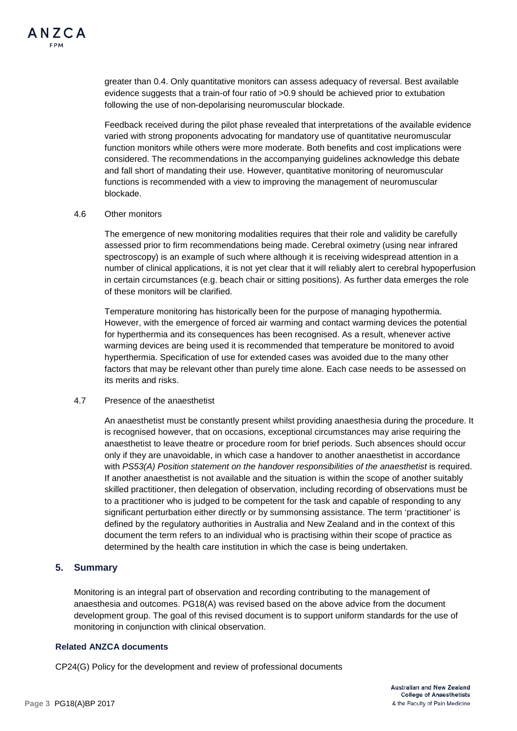

greater than 0.4. Only quantitative monitors can assess adequacy of reversal. Best available evidence suggests that a train-of four ratio of >0.9 should be achieved prior to extubation following the use of non-depolarising neuromuscular blockade.

Feedback received during the pilot phase revealed that interpretations of the available evidence varied with strong proponents advocating for mandatory use of quantitative neuromuscular function monitors while others were more moderate. Both benefits and cost implications were considered. The recommendations in the accompanying guidelines acknowledge this debate and fall short of mandating their use. However, quantitative monitoring of neuromuscular functions is recommended with a view to improving the management of neuromuscular blockade.

#### 4.6 Other monitors

The emergence of new monitoring modalities requires that their role and validity be carefully assessed prior to firm recommendations being made. Cerebral oximetry (using near infrared spectroscopy) is an example of such where although it is receiving widespread attention in a number of clinical applications, it is not yet clear that it will reliably alert to cerebral hypoperfusion in certain circumstances (e.g. beach chair or sitting positions). As further data emerges the role of these monitors will be clarified.

Temperature monitoring has historically been for the purpose of managing hypothermia. However, with the emergence of forced air warming and contact warming devices the potential for hyperthermia and its consequences has been recognised. As a result, whenever active warming devices are being used it is recommended that temperature be monitored to avoid hyperthermia. Specification of use for extended cases was avoided due to the many other factors that may be relevant other than purely time alone. Each case needs to be assessed on its merits and risks.

#### 4.7 Presence of the anaesthetist

An anaesthetist must be constantly present whilst providing anaesthesia during the procedure. It is recognised however, that on occasions, exceptional circumstances may arise requiring the anaesthetist to leave theatre or procedure room for brief periods. Such absences should occur only if they are unavoidable, in which case a handover to another anaesthetist in accordance with *PS53(A)* Position statement on the handover responsibilities of the anaesthetist is required. If another anaesthetist is not available and the situation is within the scope of another suitably skilled practitioner, then delegation of observation, including recording of observations must be to a practitioner who is judged to be competent for the task and capable of responding to any significant perturbation either directly or by summonsing assistance. The term 'practitioner' is defined by the regulatory authorities in Australia and New Zealand and in the context of this document the term refers to an individual who is practising within their scope of practice as determined by the health care institution in which the case is being undertaken.

#### **5. Summary**

Monitoring is an integral part of observation and recording contributing to the management of anaesthesia and outcomes. PG18(A) was revised based on the above advice from the document development group. The goal of this revised document is to support uniform standards for the use of monitoring in conjunction with clinical observation.

#### **Related ANZCA documents**

CP24(G) Policy for the development and review of professional documents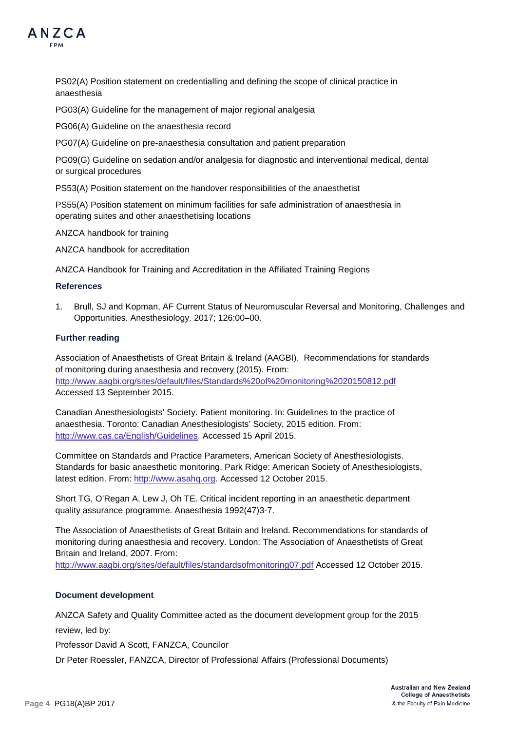

PS02(A) Position statement on credentialling and defining the scope of clinical practice in anaesthesia

PG03(A) Guideline for the management of major regional analgesia

PG06(A) Guideline on the anaesthesia record

PG07(A) Guideline on pre-anaesthesia consultation and patient preparation

PG09(G) Guideline on sedation and/or analgesia for diagnostic and interventional medical, dental or surgical procedures

PS53(A) Position statement on the handover responsibilities of the anaesthetist

PS55(A) Position statement on minimum facilities for safe administration of anaesthesia in operating suites and other anaesthetising locations

ANZCA handbook for training

ANZCA handbook for accreditation

ANZCA Handbook for Training and Accreditation in the Affiliated Training Regions

#### **References**

1. Brull, SJ and Kopman, AF Current Status of Neuromuscular Reversal and Monitoring, Challenges and Opportunities. Anesthesiology. 2017; 126:00–00.

#### **Further reading**

Association of Anaesthetists of Great Britain & Ireland (AAGBI). Recommendations for standards of monitoring during anaesthesia and recovery (2015). From: <http://www.aagbi.org/sites/default/files/Standards%20of%20monitoring%2020150812.pdf> Accessed 13 September 2015.

Canadian Anesthesiologists' Society. Patient monitoring. In: Guidelines to the practice of anaesthesia. Toronto: Canadian Anesthesiologists' Society, 2015 edition. From: [http://www.cas.ca/English/Guidelines.](http://www.cas.ca/English/Guidelines) Accessed 15 April 2015.

Committee on Standards and Practice Parameters, American Society of Anesthesiologists. Standards for basic anaesthetic monitoring. Park Ridge: American Society of Anesthesiologists, latest edition. From: [http://www.asahq.org.](http://www.asahq.org/) Accessed 12 October 2015.

Short TG, O'Regan A, Lew J, Oh TE. Critical incident reporting in an anaesthetic department quality assurance programme. Anaesthesia 1992(47)3-7.

The Association of Anaesthetists of Great Britain and Ireland. Recommendations for standards of monitoring during anaesthesia and recovery. London: The Association of Anaesthetists of Great Britain and Ireland, 2007. From:

<http://www.aagbi.org/sites/default/files/standardsofmonitoring07.pdf> Accessed 12 October 2015.

#### **Document development**

ANZCA Safety and Quality Committee acted as the document development group for the 2015 review, led by:

Professor David A Scott, FANZCA, Councilor

Dr Peter Roessler, FANZCA, Director of Professional Affairs (Professional Documents)